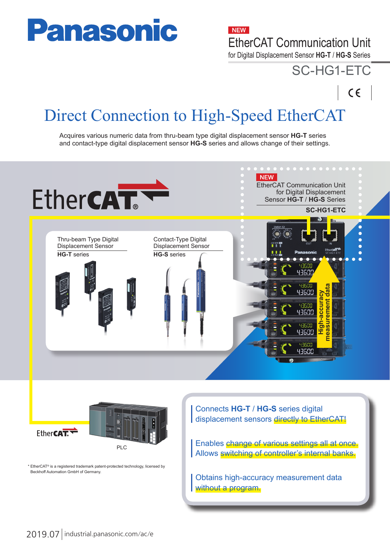# **Panasonic**

**NEW** 

EtherCAT Communication Unit

for Digital Displacement Sensor **HG-T** / **HG-S** Series

# SC-HG1-ETC

 $C \in$ 

Direct Connection to High-Speed EtherCAT

Acquires various numeric data from thru-beam type digital displacement sensor **HG-T** series and contact-type digital displacement sensor **HG-S** series and allows change of their settings.





\* EtherCAT® is a registered trademark patent-protected technology, licensed by Beckhoff Automation GmbH of Germany.

Connects **HG-T** / **HG-S** series digital displacement sensors directly to EtherCAT!

Enables change of various settings all at once. Allows switching of controller's internal banks.

Obtains high-accuracy measurement data without a program.